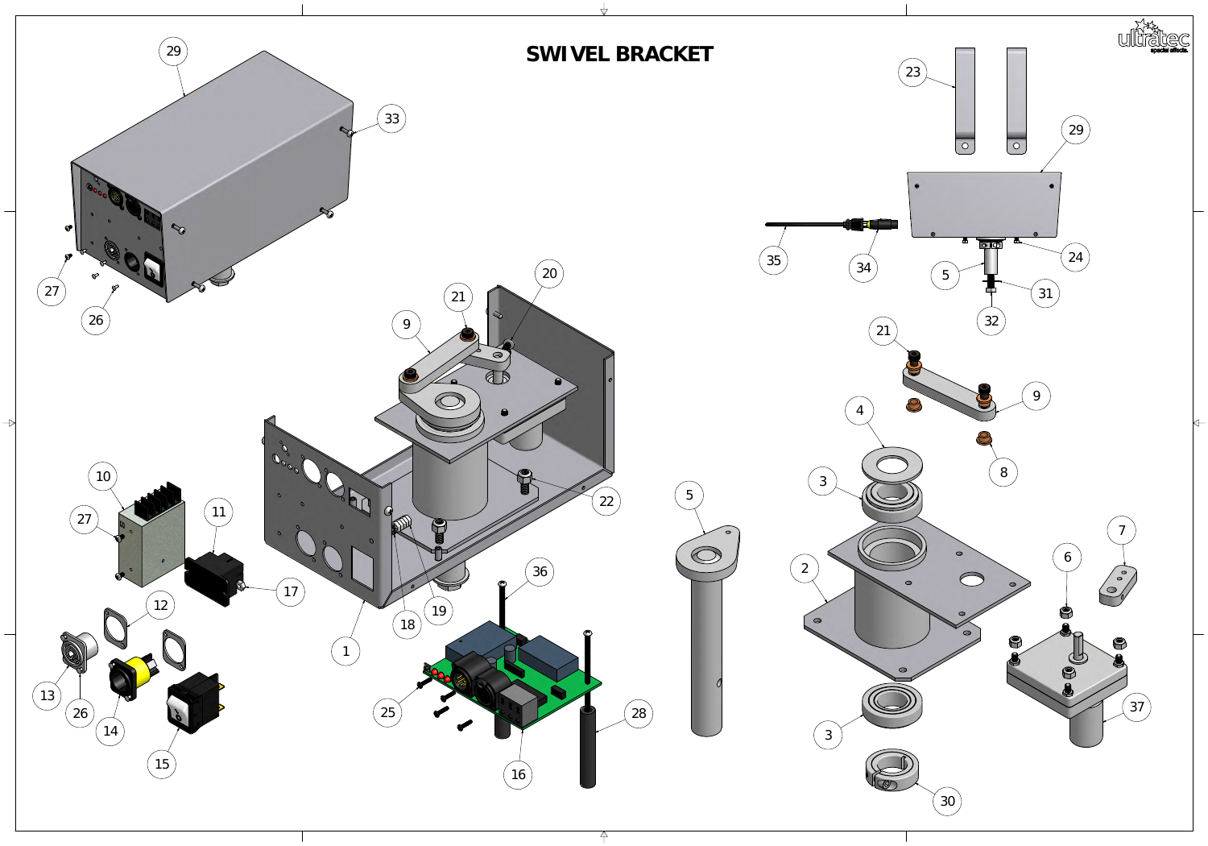